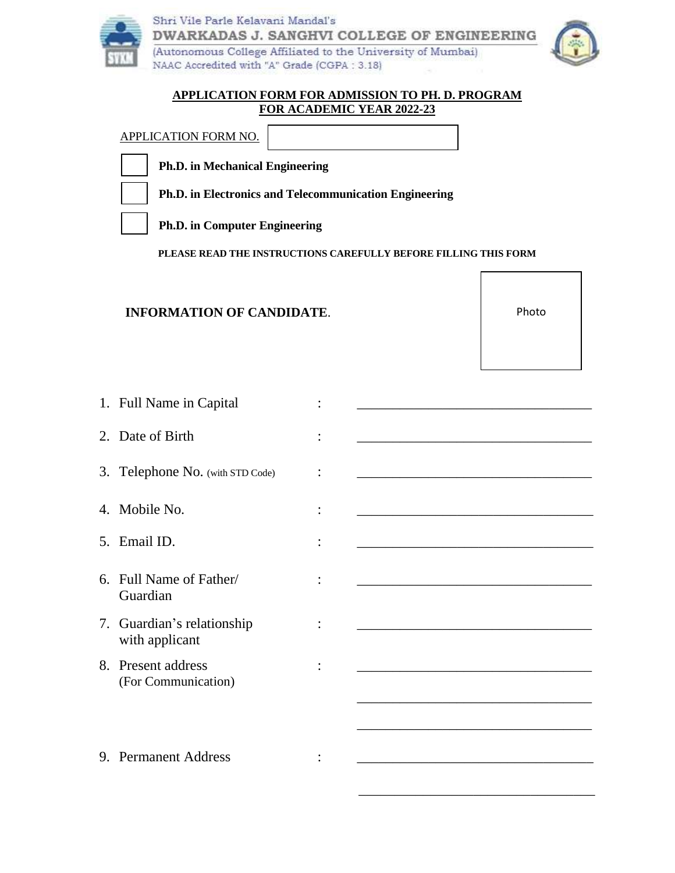



## **APPLICATION FORM FOR ADMISSION TO PH. D. PROGRAM FOR ACADEMIC YEAR 2022-23**

| <b>APPLICATION FORM NO.</b>                                     |  |
|-----------------------------------------------------------------|--|
| <b>Ph.D.</b> in Mechanical Engineering                          |  |
| <b>Ph.D.</b> in Electronics and Telecommunication Engineering   |  |
| <b>Ph.D.</b> in Computer Engineering                            |  |
| PLEASE READ THE INSTRUCTIONS CAREFULLY BEFORE FILLING THIS FORM |  |

## **INFORMATION OF CANDIDATE**.

Photo

| 1. Full Name in Capital                      |                                                                                                                       |
|----------------------------------------------|-----------------------------------------------------------------------------------------------------------------------|
| 2. Date of Birth                             | <u> 1989 - Johann Stoff, amerikansk politiker (d. 1989)</u>                                                           |
| 3. Telephone No. (with STD Code)             | <u> 1989 - Johann Barbara, martin amerikan basal dan berasal dalam basal dalam basal dalam basal dalam basal dala</u> |
| Mobile No.<br>4.                             | <u> 1999 - Johann John Stein, mars an deus Amerikaansk kommunister (</u>                                              |
| 5. Email ID.                                 | <u> 1980 - Jan James James Barnett, fransk politik (d. 1980)</u>                                                      |
| Full Name of Father/<br>6<br>Guardian        | <u> 1989 - Johann John Harry, mars eta bat eta bat eta bat eta bat eta bat eta bat eta bat eta bat eta bat eta b</u>  |
| 7. Guardian's relationship<br>with applicant | <u> 1980 - Jan James James Barbara, martxa eta idazlea (</u>                                                          |
| 8. Present address<br>(For Communication)    | <u> 1980 - Johann John Stone, mars eta bat eta bat eta bat eta bat eta bat eta bat eta bat eta bat eta bat eta b</u>  |
|                                              |                                                                                                                       |
| 9. Permanent Address                         |                                                                                                                       |

 $\overline{\phantom{a}}$  , and the contract of the contract of the contract of the contract of the contract of the contract of the contract of the contract of the contract of the contract of the contract of the contract of the contrac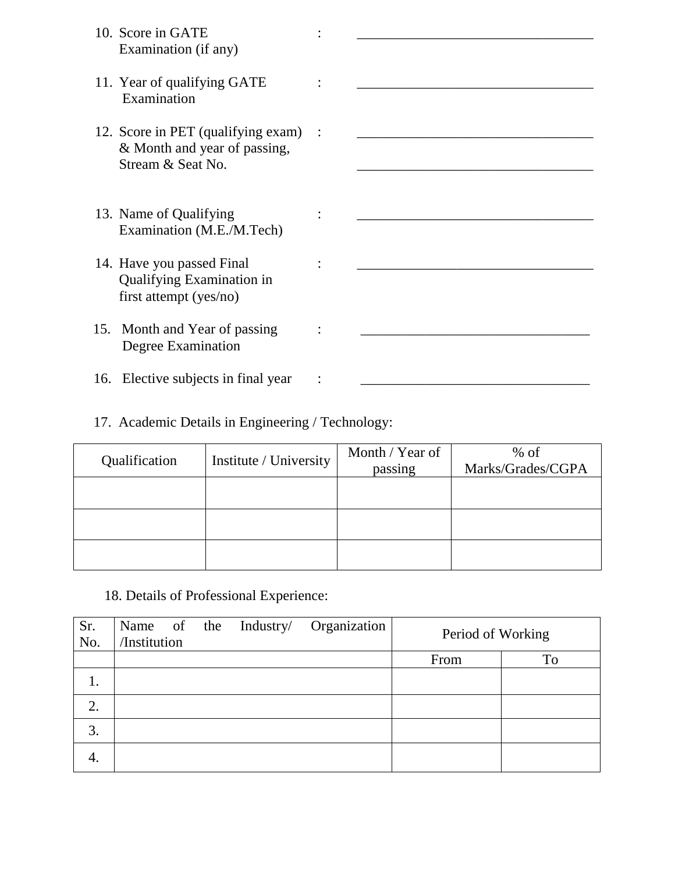| 10. Score in GATE<br>Examination (if any)                                                 |  |
|-------------------------------------------------------------------------------------------|--|
| 11. Year of qualifying GATE<br>Examination                                                |  |
| 12. Score in PET (qualifying exam) :<br>& Month and year of passing,<br>Stream & Seat No. |  |
|                                                                                           |  |
| 13. Name of Qualifying<br>Examination (M.E./M.Tech)                                       |  |
| 14. Have you passed Final<br>Qualifying Examination in<br>first attempt (yes/no)          |  |
| 15. Month and Year of passing<br>Degree Examination                                       |  |
| 16. Elective subjects in final year                                                       |  |

## 17. Academic Details in Engineering / Technology:

| Qualification | Institute / University | Month / Year of<br>passing | $%$ of<br>Marks/Grades/CGPA |
|---------------|------------------------|----------------------------|-----------------------------|
|               |                        |                            |                             |
|               |                        |                            |                             |
|               |                        |                            |                             |

18. Details of Professional Experience:

| Sr.<br>No. | Name of the<br>/Institution |  | Industry/ | Organization | Period of Working |    |
|------------|-----------------------------|--|-----------|--------------|-------------------|----|
|            |                             |  |           |              | From              | To |
| 1.         |                             |  |           |              |                   |    |
| 2.         |                             |  |           |              |                   |    |
| 3.         |                             |  |           |              |                   |    |
| 4.         |                             |  |           |              |                   |    |